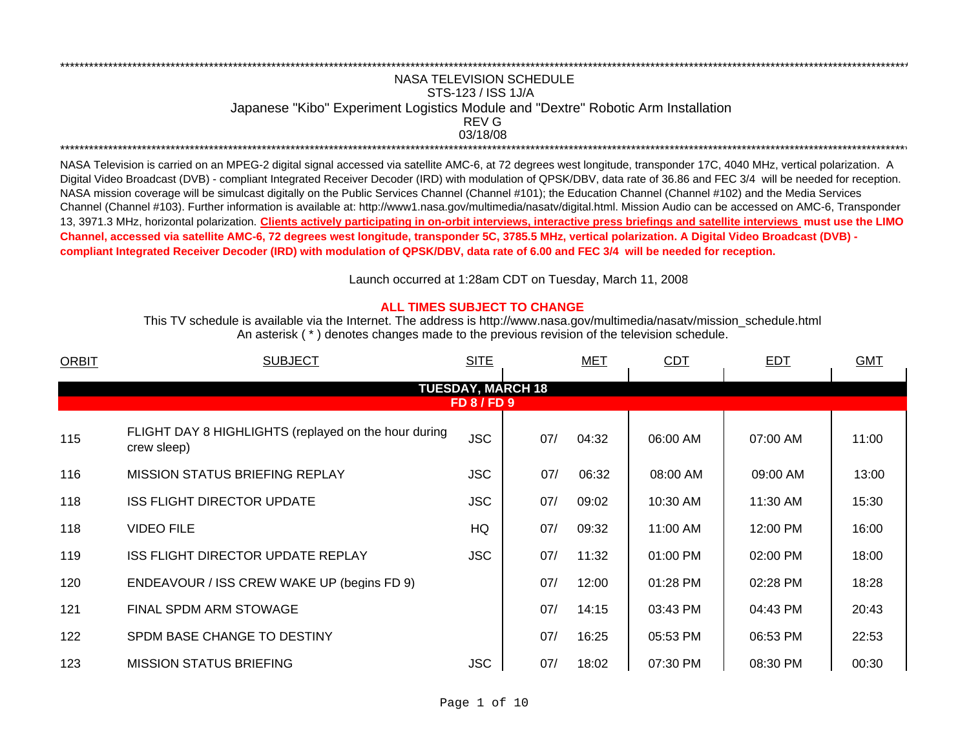## NASA TELEVISION SCHEDULESTS-123 / ISS 1J/A Japanese "Kibo" Experiment Logistics Module and "Dextre" Robotic Arm Installation 03/18/08 \*\*\*\*\*\*\*\*\*\*\*\*\*\*\*\*\*\*\*\*\*\*\*\*\*\*\*\*\*\*\*\*\*\*\*\*\*\*\*\*\*\*\*\*\*\*\*\*\*\*\*\*\*\*\*\*\*\*\*\*\*\*\*\*\*\*\*\*\*\*\*\*\*\*\*\*\*\*\*\*\*\*\*\*\*\*\*\*\*\*\*\*\*\*\*\*\*\*\*\*\*\*\*\*\*\*\*\*\*\*\*\*\*\*\*\*\*\*\*\*\*\*\*\*\*\*\*\*\*\*\*\*\*\*\*\*\*\*\*\*\*\*\*\*\*\*\*\*\*\*\*\*\*\*\*\*\*\*\*\*\*\*\*\*\*\*\*\*\*\*\*\*\*\*\*\*\*REV G

\*\*\*\*\*\*\*\*\*\*\*\*\*\*\*\*\*\*\*\*\*\*\*\*\*\*\*\*\*\*\*\*\*\*\*\*\*\*\*\*\*\*\*\*\*\*\*\*\*\*\*\*\*\*\*\*\*\*\*\*\*\*\*\*\*\*\*\*\*\*\*\*\*\*\*\*\*\*\*\*\*\*\*\*\*\*\*\*\*\*\*\*\*\*\*\*\*\*\*\*\*\*\*\*\*\*\*\*\*\*\*\*\*\*\*\*\*\*\*\*\*\*\*\*\*\*\*\*\*\*\*\*\*\*\*\*\*\*\*\*\*\*\*\*\*\*\*\*\*\*\*\*\*\*\*\*\*\*\*\*\*\*\*\*\*\*\*\*\*\*\*\*\*\*\*\*\*

NASA Television is carried on an MPEG-2 digital signal accessed via satellite AMC-6, at 72 degrees west longitude, transponder 17C, 4040 MHz, vertical polarization. A Digital Video Broadcast (DVB) - compliant Integrated Receiver Decoder (IRD) with modulation of QPSK/DBV, data rate of 36.86 and FEC 3/4 will be needed for reception. NASA mission coverage will be simulcast digitally on the Public Services Channel (Channel #101); the Education Channel (Channel #102) and the Media Services Channel (Channel #103). Further information is available at: http://www1.nasa.gov/multimedia/nasatv/digital.html. Mission Audio can be accessed on AMC-6, Transponder 13, 3971.3 MHz, horizontal polarization. **Clients actively participating in on-orbit interviews, interactive press briefings and satellite interviews must use the LIMO Channel, accessed via satellite AMC-6, 72 degrees west longitude, transponder 5C, 3785.5 MHz, vertical polarization. A Digital Video Broadcast (DVB) compliant Integrated Receiver Decoder (IRD) with modulation of QPSK/DBV, data rate of 6.00 and FEC 3/4 will be needed for reception.**

Launch occurred at 1:28am CDT on Tuesday, March 11, 200 8

## **ALL TIMES SUBJECT TO CHANGE**

An asterisk ( \* ) denotes changes made to the previous revision of the television schedule. This TV schedule is available via the Internet. The address is http://www.nasa.gov/multimedia/nasatv/mission\_schedule.html

| <b>ORBIT</b> | <b>SUBJECT</b>                                                      | <b>SITE</b>        |                          | <b>MET</b> | CDT      | <b>EDT</b> | <b>GMT</b> |
|--------------|---------------------------------------------------------------------|--------------------|--------------------------|------------|----------|------------|------------|
|              |                                                                     |                    | <b>TUESDAY, MARCH 18</b> |            |          |            |            |
|              |                                                                     | <b>FD 8 / FD 9</b> |                          |            |          |            |            |
| 115          | FLIGHT DAY 8 HIGHLIGHTS (replayed on the hour during<br>crew sleep) | <b>JSC</b>         | 07/                      | 04:32      | 06:00 AM | 07:00 AM   | 11:00      |
| 116          | <b>MISSION STATUS BRIEFING REPLAY</b>                               | <b>JSC</b>         | 07/                      | 06:32      | 08:00 AM | 09:00 AM   | 13:00      |
| 118          | <b>ISS FLIGHT DIRECTOR UPDATE</b>                                   | <b>JSC</b>         | 07/                      | 09:02      | 10:30 AM | 11:30 AM   | 15:30      |
| 118          | <b>VIDEO FILE</b>                                                   | HQ                 | 07/                      | 09:32      | 11:00 AM | 12:00 PM   | 16:00      |
| 119          | <b>ISS FLIGHT DIRECTOR UPDATE REPLAY</b>                            | <b>JSC</b>         | 07/                      | 11:32      | 01:00 PM | 02:00 PM   | 18:00      |
| 120          | ENDEAVOUR / ISS CREW WAKE UP (begins FD 9)                          |                    | 07/                      | 12:00      | 01:28 PM | 02:28 PM   | 18:28      |
| 121          | FINAL SPDM ARM STOWAGE                                              |                    | 07/                      | 14:15      | 03:43 PM | 04:43 PM   | 20:43      |
| 122          | SPDM BASE CHANGE TO DESTINY                                         |                    | 07/                      | 16:25      | 05:53 PM | 06:53 PM   | 22:53      |
| 123          | <b>MISSION STATUS BRIEFING</b>                                      | <b>JSC</b>         | 07/                      | 18:02      | 07:30 PM | 08:30 PM   | 00:30      |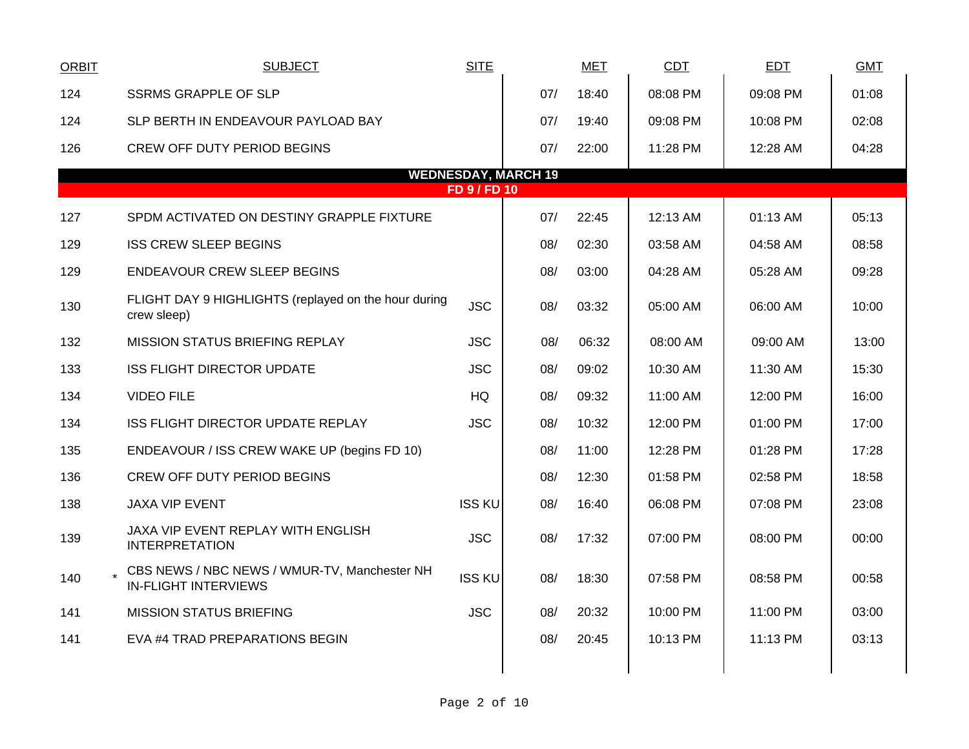| <b>ORBIT</b> | <b>SUBJECT</b>                                                              | <b>SITE</b>   |                            | <b>MET</b> | <b>CDT</b> | <b>EDT</b> | <b>GMT</b> |
|--------------|-----------------------------------------------------------------------------|---------------|----------------------------|------------|------------|------------|------------|
| 124          | <b>SSRMS GRAPPLE OF SLP</b>                                                 |               | 07/                        | 18:40      | 08:08 PM   | 09:08 PM   | 01:08      |
| 124          | SLP BERTH IN ENDEAVOUR PAYLOAD BAY                                          |               | 07/                        | 19:40      | 09:08 PM   | 10:08 PM   | 02:08      |
| 126          | <b>CREW OFF DUTY PERIOD BEGINS</b>                                          |               | 07/                        | 22:00      | 11:28 PM   | 12:28 AM   | 04:28      |
|              |                                                                             | FD 9 / FD 10  | <b>WEDNESDAY, MARCH 19</b> |            |            |            |            |
|              |                                                                             |               |                            |            |            |            |            |
| 127          | SPDM ACTIVATED ON DESTINY GRAPPLE FIXTURE                                   |               | 07/                        | 22:45      | 12:13 AM   | 01:13 AM   | 05:13      |
| 129          | <b>ISS CREW SLEEP BEGINS</b>                                                |               | 08/                        | 02:30      | 03:58 AM   | 04:58 AM   | 08:58      |
| 129          | <b>ENDEAVOUR CREW SLEEP BEGINS</b>                                          |               | 08/                        | 03:00      | 04:28 AM   | 05:28 AM   | 09:28      |
| 130          | FLIGHT DAY 9 HIGHLIGHTS (replayed on the hour during<br>crew sleep)         | <b>JSC</b>    | 08/                        | 03:32      | 05:00 AM   | 06:00 AM   | 10:00      |
| 132          | MISSION STATUS BRIEFING REPLAY                                              | <b>JSC</b>    | 08/                        | 06:32      | 08:00 AM   | 09:00 AM   | 13:00      |
| 133          | <b>ISS FLIGHT DIRECTOR UPDATE</b>                                           | <b>JSC</b>    | 08/                        | 09:02      | 10:30 AM   | 11:30 AM   | 15:30      |
| 134          | <b>VIDEO FILE</b>                                                           | HQ            | 08/                        | 09:32      | 11:00 AM   | 12:00 PM   | 16:00      |
| 134          | ISS FLIGHT DIRECTOR UPDATE REPLAY                                           | <b>JSC</b>    | 08/                        | 10:32      | 12:00 PM   | 01:00 PM   | 17:00      |
| 135          | ENDEAVOUR / ISS CREW WAKE UP (begins FD 10)                                 |               | 08/                        | 11:00      | 12:28 PM   | 01:28 PM   | 17:28      |
| 136          | <b>CREW OFF DUTY PERIOD BEGINS</b>                                          |               | 08/                        | 12:30      | 01:58 PM   | 02:58 PM   | 18:58      |
| 138          | <b>JAXA VIP EVENT</b>                                                       | <b>ISS KU</b> | 08/                        | 16:40      | 06:08 PM   | 07:08 PM   | 23:08      |
| 139          | JAXA VIP EVENT REPLAY WITH ENGLISH<br><b>INTERPRETATION</b>                 | <b>JSC</b>    | 08/                        | 17:32      | 07:00 PM   | 08:00 PM   | 00:00      |
| 140          | CBS NEWS / NBC NEWS / WMUR-TV, Manchester NH<br><b>IN-FLIGHT INTERVIEWS</b> | <b>ISS KU</b> | 08/                        | 18:30      | 07:58 PM   | 08:58 PM   | 00:58      |
| 141          | <b>MISSION STATUS BRIEFING</b>                                              | <b>JSC</b>    | 08/                        | 20:32      | 10:00 PM   | 11:00 PM   | 03:00      |
| 141          | EVA #4 TRAD PREPARATIONS BEGIN                                              |               | 08/                        | 20:45      | 10:13 PM   | 11:13 PM   | 03:13      |
|              |                                                                             |               |                            |            |            |            |            |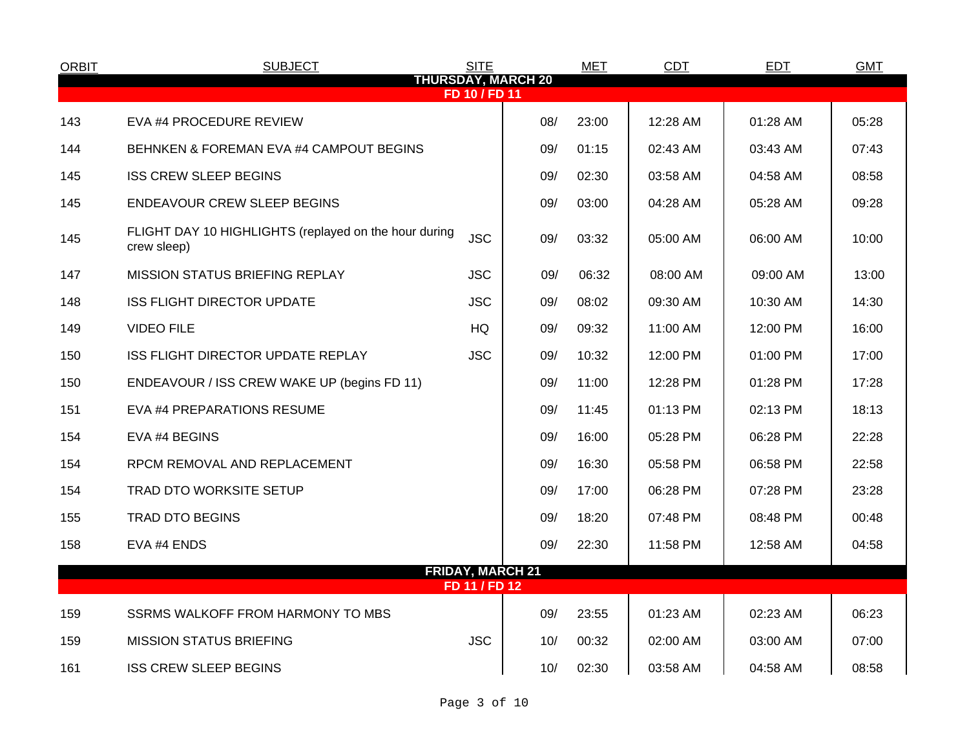| <b>ORBIT</b> | <b>SUBJECT</b>                                                       | <b>SITE</b>             |                           | <b>MET</b> | <b>CDT</b> | <b>EDT</b> | <b>GMT</b> |  |
|--------------|----------------------------------------------------------------------|-------------------------|---------------------------|------------|------------|------------|------------|--|
|              |                                                                      | FD 10 / FD 11           | <b>THURSDAY, MARCH 20</b> |            |            |            |            |  |
| 143          | EVA #4 PROCEDURE REVIEW                                              |                         | 08/                       | 23:00      | 12:28 AM   | 01:28 AM   | 05:28      |  |
| 144          | BEHNKEN & FOREMAN EVA #4 CAMPOUT BEGINS                              |                         | 09/                       | 01:15      | 02:43 AM   | 03:43 AM   | 07:43      |  |
| 145          | <b>ISS CREW SLEEP BEGINS</b>                                         |                         | 09/                       | 02:30      | 03:58 AM   | 04:58 AM   | 08:58      |  |
| 145          | <b>ENDEAVOUR CREW SLEEP BEGINS</b>                                   |                         | 09/                       | 03:00      | 04:28 AM   | 05:28 AM   | 09:28      |  |
| 145          | FLIGHT DAY 10 HIGHLIGHTS (replayed on the hour during<br>crew sleep) | <b>JSC</b>              | 09/                       | 03:32      | 05:00 AM   | 06:00 AM   | 10:00      |  |
| 147          | <b>MISSION STATUS BRIEFING REPLAY</b>                                | <b>JSC</b>              | 09/                       | 06:32      | 08:00 AM   | 09:00 AM   | 13:00      |  |
| 148          | <b>ISS FLIGHT DIRECTOR UPDATE</b>                                    | <b>JSC</b>              | 09/                       | 08:02      | 09:30 AM   | 10:30 AM   | 14:30      |  |
| 149          | <b>VIDEO FILE</b>                                                    | HQ                      | 09/                       | 09:32      | 11:00 AM   | 12:00 PM   | 16:00      |  |
| 150          | ISS FLIGHT DIRECTOR UPDATE REPLAY                                    | <b>JSC</b>              | 09/                       | 10:32      | 12:00 PM   | 01:00 PM   | 17:00      |  |
| 150          | ENDEAVOUR / ISS CREW WAKE UP (begins FD 11)                          |                         | 09/                       | 11:00      | 12:28 PM   | 01:28 PM   | 17:28      |  |
| 151          | EVA #4 PREPARATIONS RESUME                                           |                         | 09/                       | 11:45      | 01:13 PM   | 02:13 PM   | 18:13      |  |
| 154          | EVA #4 BEGINS                                                        |                         | 09/                       | 16:00      | 05:28 PM   | 06:28 PM   | 22:28      |  |
| 154          | RPCM REMOVAL AND REPLACEMENT                                         |                         | 09/                       | 16:30      | 05:58 PM   | 06:58 PM   | 22:58      |  |
| 154          | <b>TRAD DTO WORKSITE SETUP</b>                                       |                         | 09/                       | 17:00      | 06:28 PM   | 07:28 PM   | 23:28      |  |
| 155          | <b>TRAD DTO BEGINS</b>                                               |                         | 09/                       | 18:20      | 07:48 PM   | 08:48 PM   | 00:48      |  |
| 158          | EVA #4 ENDS                                                          |                         | 09/                       | 22:30      | 11:58 PM   | 12:58 AM   | 04:58      |  |
|              |                                                                      | <b>FRIDAY, MARCH 21</b> |                           |            |            |            |            |  |
|              |                                                                      | FD 11 / FD 12           |                           |            |            |            |            |  |
| 159          | SSRMS WALKOFF FROM HARMONY TO MBS                                    |                         | 09/                       | 23:55      | 01:23 AM   | 02:23 AM   | 06:23      |  |
| 159          | <b>MISSION STATUS BRIEFING</b>                                       | <b>JSC</b>              | 10/                       | 00:32      | 02:00 AM   | 03:00 AM   | 07:00      |  |
| 161          | <b>ISS CREW SLEEP BEGINS</b>                                         |                         | 10/                       | 02:30      | 03:58 AM   | 04:58 AM   | 08:58      |  |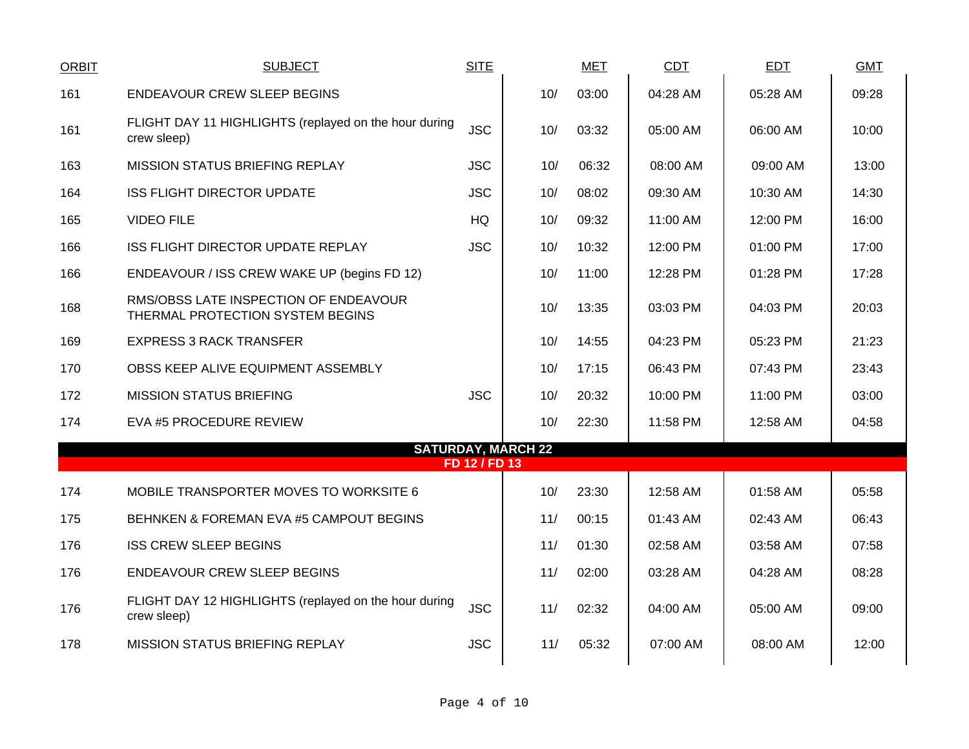| <b>ORBIT</b> | <b>SUBJECT</b>                                                            | <b>SITE</b>   |                           | <b>MET</b> | CDT      | <b>EDT</b> | <b>GMT</b> |
|--------------|---------------------------------------------------------------------------|---------------|---------------------------|------------|----------|------------|------------|
| 161          | <b>ENDEAVOUR CREW SLEEP BEGINS</b>                                        |               | 10/                       | 03:00      | 04:28 AM | 05:28 AM   | 09:28      |
| 161          | FLIGHT DAY 11 HIGHLIGHTS (replayed on the hour during<br>crew sleep)      | <b>JSC</b>    | 10/                       | 03:32      | 05:00 AM | 06:00 AM   | 10:00      |
| 163          | <b>MISSION STATUS BRIEFING REPLAY</b>                                     | <b>JSC</b>    | 10/                       | 06:32      | 08:00 AM | 09:00 AM   | 13:00      |
| 164          | <b>ISS FLIGHT DIRECTOR UPDATE</b>                                         | <b>JSC</b>    | 10/                       | 08:02      | 09:30 AM | 10:30 AM   | 14:30      |
| 165          | <b>VIDEO FILE</b>                                                         | HQ            | 10/                       | 09:32      | 11:00 AM | 12:00 PM   | 16:00      |
| 166          | <b>ISS FLIGHT DIRECTOR UPDATE REPLAY</b>                                  | <b>JSC</b>    | 10/                       | 10:32      | 12:00 PM | 01:00 PM   | 17:00      |
| 166          | ENDEAVOUR / ISS CREW WAKE UP (begins FD 12)                               |               | 10/                       | 11:00      | 12:28 PM | 01:28 PM   | 17:28      |
| 168          | RMS/OBSS LATE INSPECTION OF ENDEAVOUR<br>THERMAL PROTECTION SYSTEM BEGINS |               | 10/                       | 13:35      | 03:03 PM | 04:03 PM   | 20:03      |
| 169          | <b>EXPRESS 3 RACK TRANSFER</b>                                            |               | 10/                       | 14:55      | 04:23 PM | 05:23 PM   | 21:23      |
| 170          | OBSS KEEP ALIVE EQUIPMENT ASSEMBLY                                        |               | 10/                       | 17:15      | 06:43 PM | 07:43 PM   | 23:43      |
| 172          | <b>MISSION STATUS BRIEFING</b>                                            | <b>JSC</b>    | 10/                       | 20:32      | 10:00 PM | 11:00 PM   | 03:00      |
| 174          | EVA #5 PROCEDURE REVIEW                                                   |               | 10/                       | 22:30      | 11:58 PM | 12:58 AM   | 04:58      |
|              |                                                                           | FD 12 / FD 13 | <b>SATURDAY, MARCH 22</b> |            |          |            |            |
| 174          | MOBILE TRANSPORTER MOVES TO WORKSITE 6                                    |               | 10/                       | 23:30      | 12:58 AM | 01:58 AM   | 05:58      |
| 175          | BEHNKEN & FOREMAN EVA #5 CAMPOUT BEGINS                                   |               | 11/                       | 00:15      | 01:43 AM | 02:43 AM   | 06:43      |
| 176          | <b>ISS CREW SLEEP BEGINS</b>                                              |               | 11/                       | 01:30      | 02:58 AM | 03:58 AM   | 07:58      |
| 176          | <b>ENDEAVOUR CREW SLEEP BEGINS</b>                                        |               | 11/                       | 02:00      | 03:28 AM | 04:28 AM   | 08:28      |
| 176          | FLIGHT DAY 12 HIGHLIGHTS (replayed on the hour during<br>crew sleep)      | <b>JSC</b>    | 11/                       | 02:32      | 04:00 AM | 05:00 AM   | 09:00      |
| 178          | <b>MISSION STATUS BRIEFING REPLAY</b>                                     | <b>JSC</b>    | 11/                       | 05:32      | 07:00 AM | 08:00 AM   | 12:00      |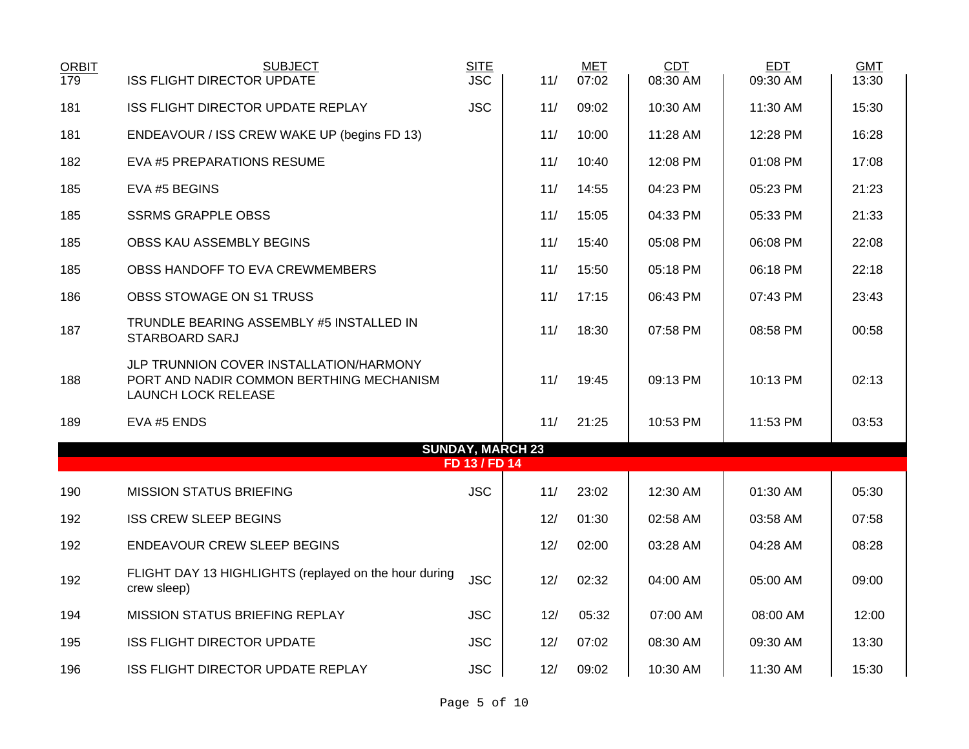| <b>ORBIT</b><br>179 | <b>SUBJECT</b><br><b>ISS FLIGHT DIRECTOR UPDATE</b>                                                               | <b>SITE</b><br><b>JSC</b> | 11/                     | <b>MET</b><br>07:02 | CDT<br>08:30 AM | <b>EDT</b><br>09:30 AM | <b>GMT</b><br>13:30 |
|---------------------|-------------------------------------------------------------------------------------------------------------------|---------------------------|-------------------------|---------------------|-----------------|------------------------|---------------------|
| 181                 | <b>ISS FLIGHT DIRECTOR UPDATE REPLAY</b>                                                                          | <b>JSC</b>                | 11/                     | 09:02               | 10:30 AM        | 11:30 AM               | 15:30               |
| 181                 | ENDEAVOUR / ISS CREW WAKE UP (begins FD 13)                                                                       |                           | 11/                     | 10:00               | 11:28 AM        | 12:28 PM               | 16:28               |
| 182                 | EVA #5 PREPARATIONS RESUME                                                                                        |                           | 11/                     | 10:40               | 12:08 PM        | 01:08 PM               | 17:08               |
| 185                 | EVA #5 BEGINS                                                                                                     |                           | 11/                     | 14:55               | 04:23 PM        | 05:23 PM               | 21:23               |
| 185                 | <b>SSRMS GRAPPLE OBSS</b>                                                                                         |                           | 11/                     | 15:05               | 04:33 PM        | 05:33 PM               | 21:33               |
| 185                 | OBSS KAU ASSEMBLY BEGINS                                                                                          |                           | 11/                     | 15:40               | 05:08 PM        | 06:08 PM               | 22:08               |
| 185                 | OBSS HANDOFF TO EVA CREWMEMBERS                                                                                   |                           | 11/                     | 15:50               | 05:18 PM        | 06:18 PM               | 22:18               |
| 186                 | OBSS STOWAGE ON S1 TRUSS                                                                                          |                           | 11/                     | 17:15               | 06:43 PM        | 07:43 PM               | 23:43               |
| 187                 | TRUNDLE BEARING ASSEMBLY #5 INSTALLED IN<br>STARBOARD SARJ                                                        |                           | 11/                     | 18:30               | 07:58 PM        | 08:58 PM               | 00:58               |
| 188                 | JLP TRUNNION COVER INSTALLATION/HARMONY<br>PORT AND NADIR COMMON BERTHING MECHANISM<br><b>LAUNCH LOCK RELEASE</b> |                           | 11/                     | 19:45               | 09:13 PM        | 10:13 PM               | 02:13               |
| 189                 | EVA #5 ENDS                                                                                                       |                           | 11/                     | 21:25               | 10:53 PM        | 11:53 PM               | 03:53               |
|                     |                                                                                                                   |                           | <b>SUNDAY, MARCH 23</b> |                     |                 |                        |                     |
|                     |                                                                                                                   | FD 13 / FD 14             |                         |                     |                 |                        |                     |
| 190                 | <b>MISSION STATUS BRIEFING</b>                                                                                    | <b>JSC</b>                | 11/                     | 23:02               | 12:30 AM        | 01:30 AM               | 05:30               |
| 192                 | <b>ISS CREW SLEEP BEGINS</b>                                                                                      |                           | 12/                     | 01:30               | 02:58 AM        | 03:58 AM               | 07:58               |
| 192                 | ENDEAVOUR CREW SLEEP BEGINS                                                                                       |                           | 12/                     | 02:00               | 03:28 AM        | 04:28 AM               | 08:28               |
| 192                 | FLIGHT DAY 13 HIGHLIGHTS (replayed on the hour during<br>crew sleep)                                              | <b>JSC</b>                | 12/                     | 02:32               | 04:00 AM        | 05:00 AM               | 09:00               |
| 194                 | MISSION STATUS BRIEFING REPLAY                                                                                    | <b>JSC</b>                | 12/                     | 05:32               | 07:00 AM        | 08:00 AM               | 12:00               |
| 195                 | <b>ISS FLIGHT DIRECTOR UPDATE</b>                                                                                 | <b>JSC</b>                | 12/                     | 07:02               | 08:30 AM        | 09:30 AM               | 13:30               |
| 196                 | ISS FLIGHT DIRECTOR UPDATE REPLAY                                                                                 | <b>JSC</b>                | 12/                     | 09:02               | 10:30 AM        | 11:30 AM               | 15:30               |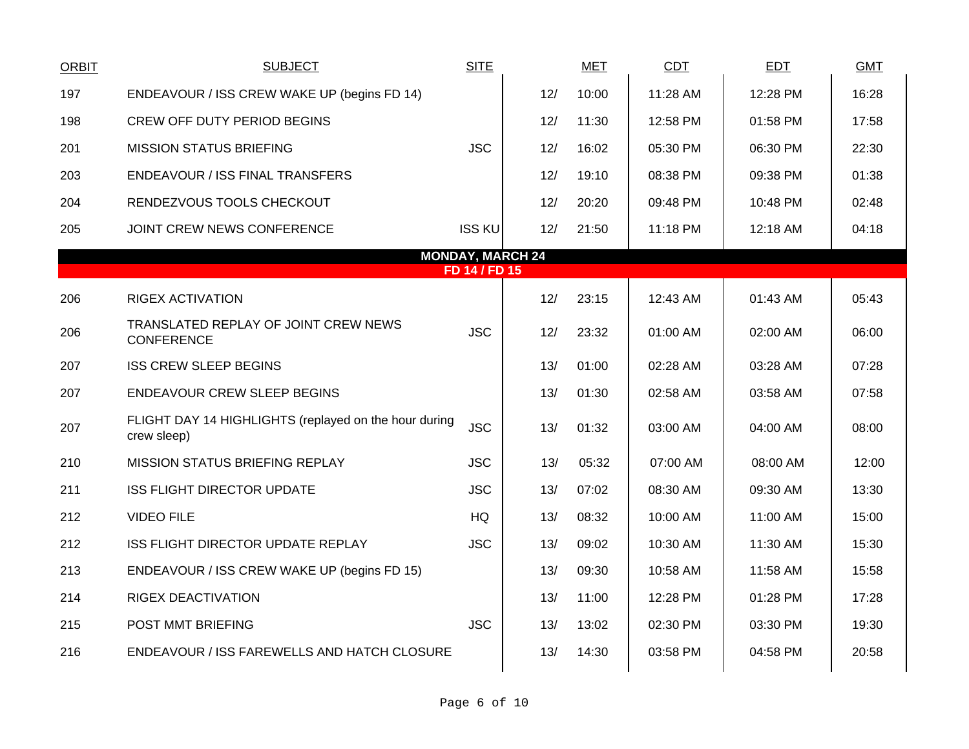| <b>ORBIT</b> | <b>SUBJECT</b>                                                       | <b>SITE</b>   |                         | <b>MET</b> | <b>CDT</b> | <b>EDT</b> | <b>GMT</b> |
|--------------|----------------------------------------------------------------------|---------------|-------------------------|------------|------------|------------|------------|
| 197          | ENDEAVOUR / ISS CREW WAKE UP (begins FD 14)                          |               | 12/                     | 10:00      | 11:28 AM   | 12:28 PM   | 16:28      |
| 198          | CREW OFF DUTY PERIOD BEGINS                                          |               | 12/                     | 11:30      | 12:58 PM   | 01:58 PM   | 17:58      |
| 201          | <b>MISSION STATUS BRIEFING</b>                                       | <b>JSC</b>    | 12/                     | 16:02      | 05:30 PM   | 06:30 PM   | 22:30      |
| 203          | <b>ENDEAVOUR / ISS FINAL TRANSFERS</b>                               |               | 12/                     | 19:10      | 08:38 PM   | 09:38 PM   | 01:38      |
| 204          | RENDEZVOUS TOOLS CHECKOUT                                            |               | 12/                     | 20:20      | 09:48 PM   | 10:48 PM   | 02:48      |
| 205          | JOINT CREW NEWS CONFERENCE                                           | <b>ISS KU</b> | 12/                     | 21:50      | 11:18 PM   | 12:18 AM   | 04:18      |
|              |                                                                      | FD 14 / FD 15 | <b>MONDAY, MARCH 24</b> |            |            |            |            |
|              |                                                                      |               |                         |            |            |            |            |
| 206          | <b>RIGEX ACTIVATION</b>                                              |               | 12/                     | 23:15      | 12:43 AM   | 01:43 AM   | 05:43      |
| 206          | TRANSLATED REPLAY OF JOINT CREW NEWS<br><b>CONFERENCE</b>            | <b>JSC</b>    | 12/                     | 23:32      | 01:00 AM   | 02:00 AM   | 06:00      |
| 207          | <b>ISS CREW SLEEP BEGINS</b>                                         |               | 13/                     | 01:00      | 02:28 AM   | 03:28 AM   | 07:28      |
| 207          | <b>ENDEAVOUR CREW SLEEP BEGINS</b>                                   |               | 13/                     | 01:30      | 02:58 AM   | 03:58 AM   | 07:58      |
| 207          | FLIGHT DAY 14 HIGHLIGHTS (replayed on the hour during<br>crew sleep) | <b>JSC</b>    | 13/                     | 01:32      | 03:00 AM   | 04:00 AM   | 08:00      |
| 210          | MISSION STATUS BRIEFING REPLAY                                       | <b>JSC</b>    | 13/                     | 05:32      | 07:00 AM   | 08:00 AM   | 12:00      |
| 211          | <b>ISS FLIGHT DIRECTOR UPDATE</b>                                    | <b>JSC</b>    | 13/                     | 07:02      | 08:30 AM   | 09:30 AM   | 13:30      |
| 212          | <b>VIDEO FILE</b>                                                    | <b>HQ</b>     | 13/                     | 08:32      | 10:00 AM   | 11:00 AM   | 15:00      |
| 212          | ISS FLIGHT DIRECTOR UPDATE REPLAY                                    | <b>JSC</b>    | 13/                     | 09:02      | 10:30 AM   | 11:30 AM   | 15:30      |
| 213          | ENDEAVOUR / ISS CREW WAKE UP (begins FD 15)                          |               | 13/                     | 09:30      | 10:58 AM   | 11:58 AM   | 15:58      |
| 214          | RIGEX DEACTIVATION                                                   |               | 13/                     | 11:00      | 12:28 PM   | 01:28 PM   | 17:28      |
| 215          | POST MMT BRIEFING                                                    | <b>JSC</b>    | 13/                     | 13:02      | 02:30 PM   | 03:30 PM   | 19:30      |
| 216          | ENDEAVOUR / ISS FAREWELLS AND HATCH CLOSURE                          |               | 13/                     | 14:30      | 03:58 PM   | 04:58 PM   | 20:58      |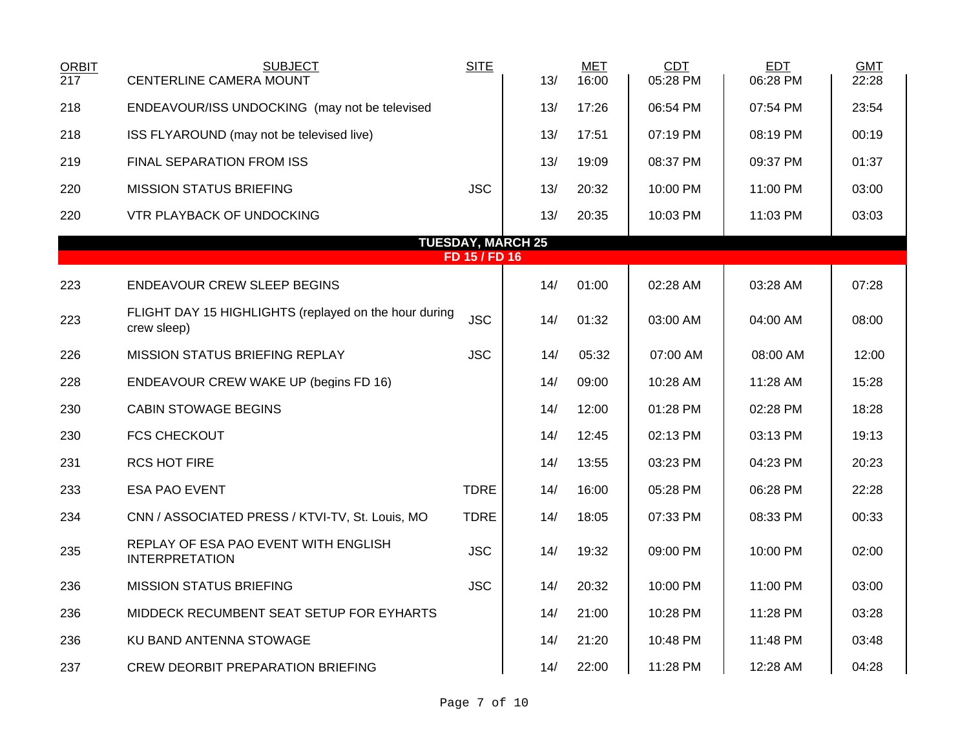| <b>ORBIT</b><br>217                       | <b>SUBJECT</b><br><b>CENTERLINE CAMERA MOUNT</b>                     | <b>SITE</b> | 13/ | <b>MET</b><br>16:00 | <b>CDT</b><br>05:28 PM | <b>EDT</b><br>06:28 PM | <b>GMT</b><br>22:28 |  |  |
|-------------------------------------------|----------------------------------------------------------------------|-------------|-----|---------------------|------------------------|------------------------|---------------------|--|--|
| 218                                       | ENDEAVOUR/ISS UNDOCKING (may not be televised                        |             | 13/ | 17:26               | 06:54 PM               | 07:54 PM               | 23:54               |  |  |
| 218                                       | ISS FLYAROUND (may not be televised live)                            |             | 13/ | 17:51               | 07:19 PM               | 08:19 PM               | 00:19               |  |  |
| 219                                       | <b>FINAL SEPARATION FROM ISS</b>                                     |             | 13/ | 19:09               | 08:37 PM               | 09:37 PM               | 01:37               |  |  |
| 220                                       | <b>MISSION STATUS BRIEFING</b>                                       | <b>JSC</b>  | 13/ | 20:32               | 10:00 PM               | 11:00 PM               | 03:00               |  |  |
| 220                                       | VTR PLAYBACK OF UNDOCKING                                            |             | 13/ | 20:35               | 10:03 PM               | 11:03 PM               | 03:03               |  |  |
| <b>TUESDAY, MARCH 25</b><br>FD 15 / FD 16 |                                                                      |             |     |                     |                        |                        |                     |  |  |
| 223                                       | <b>ENDEAVOUR CREW SLEEP BEGINS</b>                                   |             | 14/ | 01:00               | 02:28 AM               | 03:28 AM               | 07:28               |  |  |
| 223                                       | FLIGHT DAY 15 HIGHLIGHTS (replayed on the hour during<br>crew sleep) | <b>JSC</b>  | 14/ | 01:32               | 03:00 AM               | 04:00 AM               | 08:00               |  |  |
| 226                                       | MISSION STATUS BRIEFING REPLAY                                       | <b>JSC</b>  | 14/ | 05:32               | 07:00 AM               | 08:00 AM               | 12:00               |  |  |
| 228                                       | ENDEAVOUR CREW WAKE UP (begins FD 16)                                |             | 14/ | 09:00               | 10:28 AM               | 11:28 AM               | 15:28               |  |  |
| 230                                       | <b>CABIN STOWAGE BEGINS</b>                                          |             | 14/ | 12:00               | 01:28 PM               | 02:28 PM               | 18:28               |  |  |
| 230                                       | <b>FCS CHECKOUT</b>                                                  |             | 14/ | 12:45               | 02:13 PM               | 03:13 PM               | 19:13               |  |  |
| 231                                       | <b>RCS HOT FIRE</b>                                                  |             | 14/ | 13:55               | 03:23 PM               | 04:23 PM               | 20:23               |  |  |
| 233                                       | <b>ESA PAO EVENT</b>                                                 | <b>TDRE</b> | 14/ | 16:00               | 05:28 PM               | 06:28 PM               | 22:28               |  |  |
| 234                                       | CNN / ASSOCIATED PRESS / KTVI-TV, St. Louis, MO                      | <b>TDRE</b> | 14/ | 18:05               | 07:33 PM               | 08:33 PM               | 00:33               |  |  |
| 235                                       | REPLAY OF ESA PAO EVENT WITH ENGLISH<br><b>INTERPRETATION</b>        | <b>JSC</b>  | 14/ | 19:32               | 09:00 PM               | 10:00 PM               | 02:00               |  |  |
| 236                                       | <b>MISSION STATUS BRIEFING</b>                                       | <b>JSC</b>  | 14/ | 20:32               | 10:00 PM               | 11:00 PM               | 03:00               |  |  |
| 236                                       | MIDDECK RECUMBENT SEAT SETUP FOR EYHARTS                             |             | 14/ | 21:00               | 10:28 PM               | 11:28 PM               | 03:28               |  |  |
| 236                                       | KU BAND ANTENNA STOWAGE                                              |             | 14/ | 21:20               | 10:48 PM               | 11:48 PM               | 03:48               |  |  |
| 237                                       | CREW DEORBIT PREPARATION BRIEFING                                    |             | 14/ | 22:00               | 11:28 PM               | 12:28 AM               | 04:28               |  |  |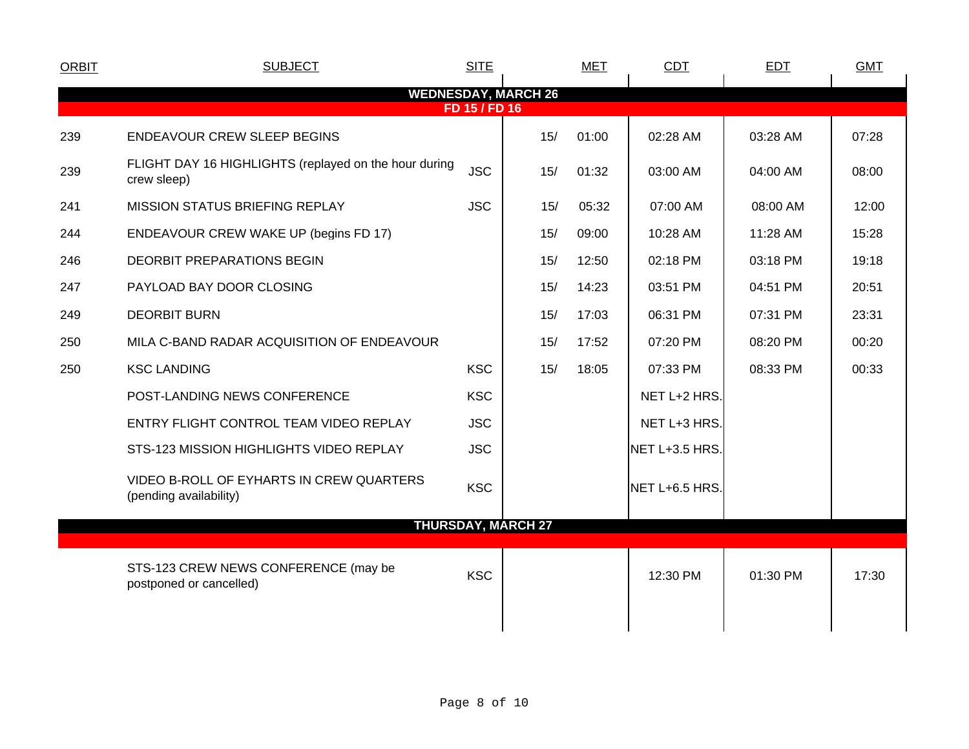| <b>ORBIT</b> | <b>SUBJECT</b>                                                       | <b>SITE</b>   |                            | <b>MET</b> | CDT            | EDT      | <b>GMT</b> |
|--------------|----------------------------------------------------------------------|---------------|----------------------------|------------|----------------|----------|------------|
|              |                                                                      |               | <b>WEDNESDAY, MARCH 26</b> |            |                |          |            |
|              |                                                                      | FD 15 / FD 16 |                            |            |                |          |            |
| 239          | <b>ENDEAVOUR CREW SLEEP BEGINS</b>                                   |               | 15/                        | 01:00      | 02:28 AM       | 03:28 AM | 07:28      |
| 239          | FLIGHT DAY 16 HIGHLIGHTS (replayed on the hour during<br>crew sleep) | <b>JSC</b>    | 15/                        | 01:32      | 03:00 AM       | 04:00 AM | 08:00      |
| 241          | <b>MISSION STATUS BRIEFING REPLAY</b>                                | <b>JSC</b>    | 15/                        | 05:32      | 07:00 AM       | 08:00 AM | 12:00      |
| 244          | ENDEAVOUR CREW WAKE UP (begins FD 17)                                |               | 15/                        | 09:00      | 10:28 AM       | 11:28 AM | 15:28      |
| 246          | <b>DEORBIT PREPARATIONS BEGIN</b>                                    |               | 15/                        | 12:50      | 02:18 PM       | 03:18 PM | 19:18      |
| 247          | PAYLOAD BAY DOOR CLOSING                                             |               | 15/                        | 14:23      | 03:51 PM       | 04:51 PM | 20:51      |
| 249          | <b>DEORBIT BURN</b>                                                  |               | 15/                        | 17:03      | 06:31 PM       | 07:31 PM | 23:31      |
| 250          | MILA C-BAND RADAR ACQUISITION OF ENDEAVOUR                           |               | 15/                        | 17:52      | 07:20 PM       | 08:20 PM | 00:20      |
| 250          | <b>KSC LANDING</b>                                                   | <b>KSC</b>    | 15/                        | 18:05      | 07:33 PM       | 08:33 PM | 00:33      |
|              | POST-LANDING NEWS CONFERENCE                                         | <b>KSC</b>    |                            |            | NET L+2 HRS.   |          |            |
|              | ENTRY FLIGHT CONTROL TEAM VIDEO REPLAY                               | <b>JSC</b>    |                            |            | NET L+3 HRS.   |          |            |
|              | STS-123 MISSION HIGHLIGHTS VIDEO REPLAY                              | <b>JSC</b>    |                            |            | NET L+3.5 HRS. |          |            |
|              | VIDEO B-ROLL OF EYHARTS IN CREW QUARTERS<br>(pending availability)   | <b>KSC</b>    |                            |            | NET L+6.5 HRS. |          |            |
|              |                                                                      |               | <b>THURSDAY, MARCH 27</b>  |            |                |          |            |
|              | STS-123 CREW NEWS CONFERENCE (may be<br>postponed or cancelled)      | <b>KSC</b>    |                            |            | 12:30 PM       | 01:30 PM | 17:30      |
|              |                                                                      |               |                            |            |                |          |            |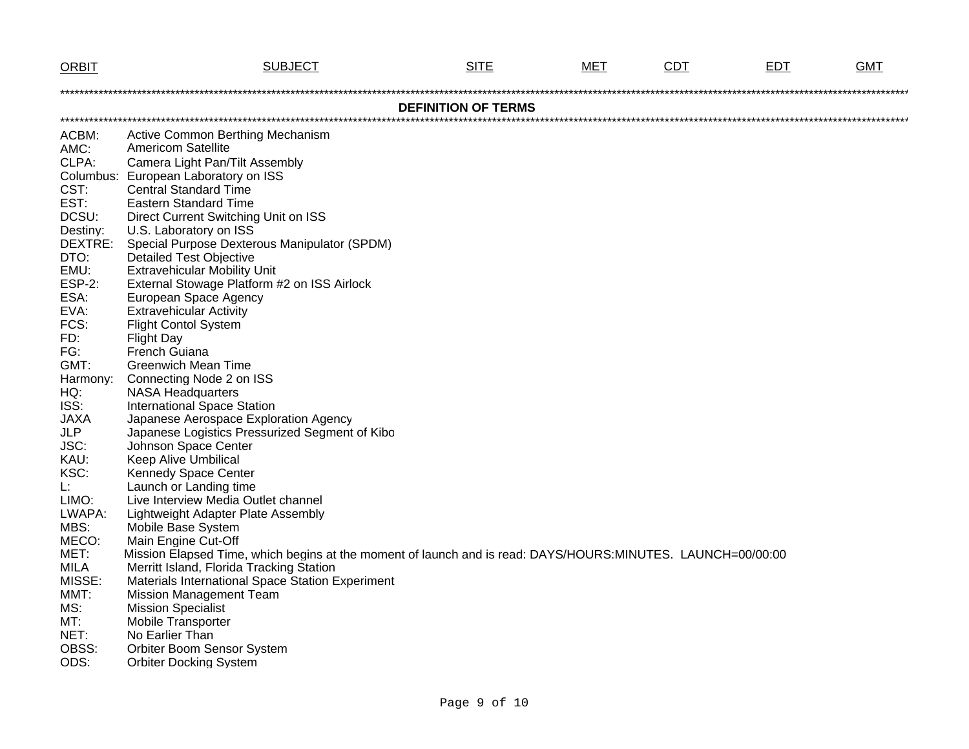| <b>ORBIT</b>          | <b>SUBJECT</b>                                                                                              | <b>SITE</b>                | MET | <b>CDT</b> | <b>EDT</b> | <b>GMT</b> |  |  |  |
|-----------------------|-------------------------------------------------------------------------------------------------------------|----------------------------|-----|------------|------------|------------|--|--|--|
|                       |                                                                                                             |                            |     |            |            |            |  |  |  |
|                       |                                                                                                             | <b>DEFINITION OF TERMS</b> |     |            |            |            |  |  |  |
|                       |                                                                                                             |                            |     |            |            |            |  |  |  |
| ACBM:                 | Active Common Berthing Mechanism                                                                            |                            |     |            |            |            |  |  |  |
| AMC:                  | <b>Americom Satellite</b>                                                                                   |                            |     |            |            |            |  |  |  |
| CLPA:                 | Camera Light Pan/Tilt Assembly                                                                              |                            |     |            |            |            |  |  |  |
|                       | Columbus: European Laboratory on ISS                                                                        |                            |     |            |            |            |  |  |  |
| CST:                  | <b>Central Standard Time</b>                                                                                |                            |     |            |            |            |  |  |  |
| EST:                  | <b>Eastern Standard Time</b>                                                                                |                            |     |            |            |            |  |  |  |
| DCSU:                 | Direct Current Switching Unit on ISS                                                                        |                            |     |            |            |            |  |  |  |
| Destiny:              | U.S. Laboratory on ISS                                                                                      |                            |     |            |            |            |  |  |  |
| DEXTRE:               | Special Purpose Dexterous Manipulator (SPDM)                                                                |                            |     |            |            |            |  |  |  |
| DTO:                  | <b>Detailed Test Objective</b>                                                                              |                            |     |            |            |            |  |  |  |
| EMU:<br><b>ESP-2:</b> | <b>Extravehicular Mobility Unit</b>                                                                         |                            |     |            |            |            |  |  |  |
| ESA:                  | External Stowage Platform #2 on ISS Airlock<br>European Space Agency                                        |                            |     |            |            |            |  |  |  |
| EVA:                  | <b>Extravehicular Activity</b>                                                                              |                            |     |            |            |            |  |  |  |
| FCS:                  | <b>Flight Contol System</b>                                                                                 |                            |     |            |            |            |  |  |  |
| FD:                   | <b>Flight Day</b>                                                                                           |                            |     |            |            |            |  |  |  |
| FG:                   | French Guiana                                                                                               |                            |     |            |            |            |  |  |  |
| GMT:                  | <b>Greenwich Mean Time</b>                                                                                  |                            |     |            |            |            |  |  |  |
| Harmony:              | Connecting Node 2 on ISS                                                                                    |                            |     |            |            |            |  |  |  |
| HQ:                   | <b>NASA Headquarters</b>                                                                                    |                            |     |            |            |            |  |  |  |
| ISS:                  | <b>International Space Station</b>                                                                          |                            |     |            |            |            |  |  |  |
| <b>JAXA</b>           | Japanese Aerospace Exploration Agency                                                                       |                            |     |            |            |            |  |  |  |
| <b>JLP</b>            | Japanese Logistics Pressurized Segment of Kibo                                                              |                            |     |            |            |            |  |  |  |
| JSC:                  | Johnson Space Center                                                                                        |                            |     |            |            |            |  |  |  |
| KAU:                  | <b>Keep Alive Umbilical</b>                                                                                 |                            |     |            |            |            |  |  |  |
| KSC:                  | Kennedy Space Center                                                                                        |                            |     |            |            |            |  |  |  |
| L:                    | Launch or Landing time                                                                                      |                            |     |            |            |            |  |  |  |
| LIMO:                 | Live Interview Media Outlet channel                                                                         |                            |     |            |            |            |  |  |  |
| LWAPA:                | Lightweight Adapter Plate Assembly                                                                          |                            |     |            |            |            |  |  |  |
| MBS:                  | Mobile Base System                                                                                          |                            |     |            |            |            |  |  |  |
| MECO:                 | Main Engine Cut-Off                                                                                         |                            |     |            |            |            |  |  |  |
| MET:                  | Mission Elapsed Time, which begins at the moment of launch and is read: DAYS/HOURS:MINUTES. LAUNCH=00/00:00 |                            |     |            |            |            |  |  |  |
| <b>MILA</b>           | Merritt Island, Florida Tracking Station                                                                    |                            |     |            |            |            |  |  |  |
| MISSE:<br>MMT:        | Materials International Space Station Experiment                                                            |                            |     |            |            |            |  |  |  |
| MS:                   | <b>Mission Management Team</b>                                                                              |                            |     |            |            |            |  |  |  |
| MT:                   | <b>Mission Specialist</b><br><b>Mobile Transporter</b>                                                      |                            |     |            |            |            |  |  |  |
| NET:                  | No Earlier Than                                                                                             |                            |     |            |            |            |  |  |  |
| OBSS:                 | <b>Orbiter Boom Sensor System</b>                                                                           |                            |     |            |            |            |  |  |  |
| ODS:                  | <b>Orbiter Docking System</b>                                                                               |                            |     |            |            |            |  |  |  |
|                       |                                                                                                             |                            |     |            |            |            |  |  |  |